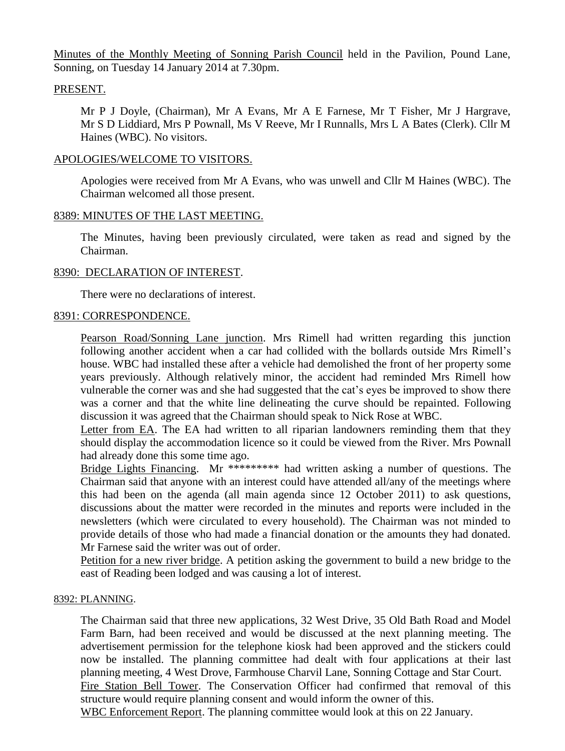Minutes of the Monthly Meeting of Sonning Parish Council held in the Pavilion, Pound Lane, Sonning, on Tuesday 14 January 2014 at 7.30pm.

# PRESENT.

Mr P J Doyle, (Chairman), Mr A Evans, Mr A E Farnese, Mr T Fisher, Mr J Hargrave, Mr S D Liddiard, Mrs P Pownall, Ms V Reeve, Mr I Runnalls, Mrs L A Bates (Clerk). Cllr M Haines (WBC). No visitors.

# APOLOGIES/WELCOME TO VISITORS.

Apologies were received from Mr A Evans, who was unwell and Cllr M Haines (WBC). The Chairman welcomed all those present.

# 8389: MINUTES OF THE LAST MEETING.

The Minutes, having been previously circulated, were taken as read and signed by the Chairman.

# 8390: DECLARATION OF INTEREST.

There were no declarations of interest.

# 8391: CORRESPONDENCE.

Pearson Road/Sonning Lane junction. Mrs Rimell had written regarding this junction following another accident when a car had collided with the bollards outside Mrs Rimell's house. WBC had installed these after a vehicle had demolished the front of her property some years previously. Although relatively minor, the accident had reminded Mrs Rimell how vulnerable the corner was and she had suggested that the cat's eyes be improved to show there was a corner and that the white line delineating the curve should be repainted. Following discussion it was agreed that the Chairman should speak to Nick Rose at WBC.

Letter from EA. The EA had written to all riparian landowners reminding them that they should display the accommodation licence so it could be viewed from the River. Mrs Pownall had already done this some time ago.

Bridge Lights Financing. Mr \*\*\*\*\*\*\*\*\* had written asking a number of questions. The Chairman said that anyone with an interest could have attended all/any of the meetings where this had been on the agenda (all main agenda since 12 October 2011) to ask questions, discussions about the matter were recorded in the minutes and reports were included in the newsletters (which were circulated to every household). The Chairman was not minded to provide details of those who had made a financial donation or the amounts they had donated. Mr Farnese said the writer was out of order.

Petition for a new river bridge. A petition asking the government to build a new bridge to the east of Reading been lodged and was causing a lot of interest.

# 8392: PLANNING.

The Chairman said that three new applications, 32 West Drive, 35 Old Bath Road and Model Farm Barn, had been received and would be discussed at the next planning meeting. The advertisement permission for the telephone kiosk had been approved and the stickers could now be installed. The planning committee had dealt with four applications at their last planning meeting, 4 West Drove, Farmhouse Charvil Lane, Sonning Cottage and Star Court. Fire Station Bell Tower. The Conservation Officer had confirmed that removal of this structure would require planning consent and would inform the owner of this.

WBC Enforcement Report. The planning committee would look at this on 22 January.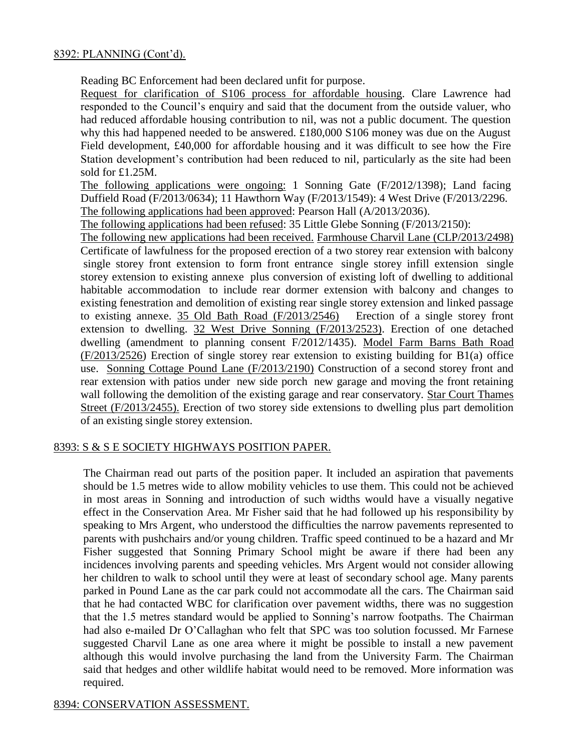# 8392: PLANNING (Cont'd).

Reading BC Enforcement had been declared unfit for purpose.

Request for clarification of S106 process for affordable housing. Clare Lawrence had responded to the Council's enquiry and said that the document from the outside valuer, who had reduced affordable housing contribution to nil, was not a public document. The question why this had happened needed to be answered. £180,000 S106 money was due on the August Field development, £40,000 for affordable housing and it was difficult to see how the Fire Station development's contribution had been reduced to nil, particularly as the site had been sold for £1.25M.

The following applications were ongoing: 1 Sonning Gate (F/2012/1398); Land facing Duffield Road (F/2013/0634); 11 Hawthorn Way (F/2013/1549): 4 West Drive (F/2013/2296. The following applications had been approved: Pearson Hall (A/2013/2036).

The following applications had been refused: 35 Little Glebe Sonning (F/2013/2150):

The following new applications had been received. Farmhouse Charvil Lane (CLP/2013/2498) Certificate of lawfulness for the proposed erection of a two storey rear extension with balcony single storey front extension to form front entrance single storey infill extension single storey extension to existing annexe plus conversion of existing loft of dwelling to additional habitable accommodation to include rear dormer extension with balcony and changes to existing fenestration and demolition of existing rear single storey extension and linked passage to existing annexe. 35 Old Bath Road (F/2013/2546) Erection of a single storey front extension to dwelling. 32 West Drive Sonning (F/2013/2523). Erection of one detached dwelling (amendment to planning consent F/2012/1435). Model Farm Barns Bath Road (F/2013/2526) Erection of single storey rear extension to existing building for B1(a) office use. Sonning Cottage Pound Lane (F/2013/2190) Construction of a second storey front and rear extension with patios under new side porch new garage and moving the front retaining wall following the demolition of the existing garage and rear conservatory. Star Court Thames Street (F/2013/2455). Erection of two storey side extensions to dwelling plus part demolition of an existing single storey extension.

# 8393: S & S E SOCIETY HIGHWAYS POSITION PAPER.

The Chairman read out parts of the position paper. It included an aspiration that pavements should be 1.5 metres wide to allow mobility vehicles to use them. This could not be achieved in most areas in Sonning and introduction of such widths would have a visually negative effect in the Conservation Area. Mr Fisher said that he had followed up his responsibility by speaking to Mrs Argent, who understood the difficulties the narrow pavements represented to parents with pushchairs and/or young children. Traffic speed continued to be a hazard and Mr Fisher suggested that Sonning Primary School might be aware if there had been any incidences involving parents and speeding vehicles. Mrs Argent would not consider allowing her children to walk to school until they were at least of secondary school age. Many parents parked in Pound Lane as the car park could not accommodate all the cars. The Chairman said that he had contacted WBC for clarification over pavement widths, there was no suggestion that the 1.5 metres standard would be applied to Sonning's narrow footpaths. The Chairman had also e-mailed Dr O'Callaghan who felt that SPC was too solution focussed. Mr Farnese suggested Charvil Lane as one area where it might be possible to install a new pavement although this would involve purchasing the land from the University Farm. The Chairman said that hedges and other wildlife habitat would need to be removed. More information was required.

# 8394: CONSERVATION ASSESSMENT.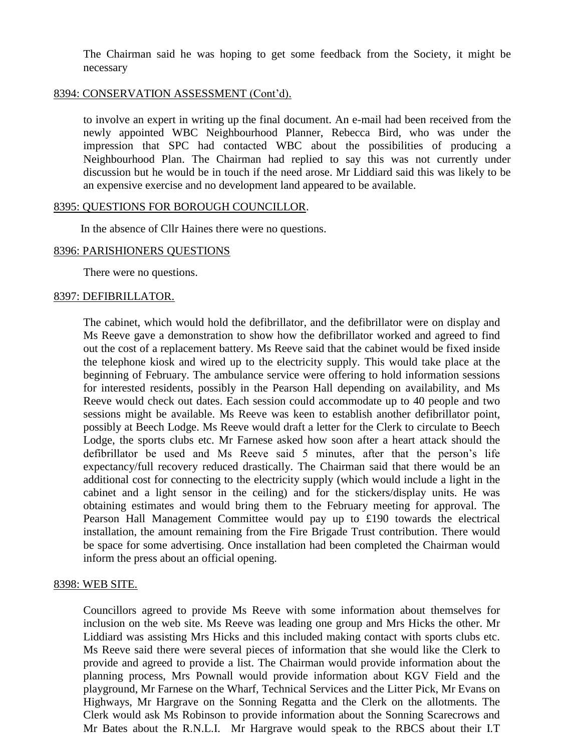The Chairman said he was hoping to get some feedback from the Society, it might be necessary

### 8394: CONSERVATION ASSESSMENT (Cont'd).

to involve an expert in writing up the final document. An e-mail had been received from the newly appointed WBC Neighbourhood Planner, Rebecca Bird, who was under the impression that SPC had contacted WBC about the possibilities of producing a Neighbourhood Plan. The Chairman had replied to say this was not currently under discussion but he would be in touch if the need arose. Mr Liddiard said this was likely to be an expensive exercise and no development land appeared to be available.

#### 8395: QUESTIONS FOR BOROUGH COUNCILLOR.

In the absence of Cllr Haines there were no questions.

#### 8396: PARISHIONERS QUESTIONS

There were no questions.

### 8397: DEFIBRILLATOR.

The cabinet, which would hold the defibrillator, and the defibrillator were on display and Ms Reeve gave a demonstration to show how the defibrillator worked and agreed to find out the cost of a replacement battery. Ms Reeve said that the cabinet would be fixed inside the telephone kiosk and wired up to the electricity supply. This would take place at the beginning of February. The ambulance service were offering to hold information sessions for interested residents, possibly in the Pearson Hall depending on availability, and Ms Reeve would check out dates. Each session could accommodate up to 40 people and two sessions might be available. Ms Reeve was keen to establish another defibrillator point, possibly at Beech Lodge. Ms Reeve would draft a letter for the Clerk to circulate to Beech Lodge, the sports clubs etc. Mr Farnese asked how soon after a heart attack should the defibrillator be used and Ms Reeve said 5 minutes, after that the person's life expectancy/full recovery reduced drastically. The Chairman said that there would be an additional cost for connecting to the electricity supply (which would include a light in the cabinet and a light sensor in the ceiling) and for the stickers/display units. He was obtaining estimates and would bring them to the February meeting for approval. The Pearson Hall Management Committee would pay up to £190 towards the electrical installation, the amount remaining from the Fire Brigade Trust contribution. There would be space for some advertising. Once installation had been completed the Chairman would inform the press about an official opening.

# 8398: WEB SITE.

Councillors agreed to provide Ms Reeve with some information about themselves for inclusion on the web site. Ms Reeve was leading one group and Mrs Hicks the other. Mr Liddiard was assisting Mrs Hicks and this included making contact with sports clubs etc. Ms Reeve said there were several pieces of information that she would like the Clerk to provide and agreed to provide a list. The Chairman would provide information about the planning process, Mrs Pownall would provide information about KGV Field and the playground, Mr Farnese on the Wharf, Technical Services and the Litter Pick, Mr Evans on Highways, Mr Hargrave on the Sonning Regatta and the Clerk on the allotments. The Clerk would ask Ms Robinson to provide information about the Sonning Scarecrows and Mr Bates about the R.N.L.I. Mr Hargrave would speak to the RBCS about their I.T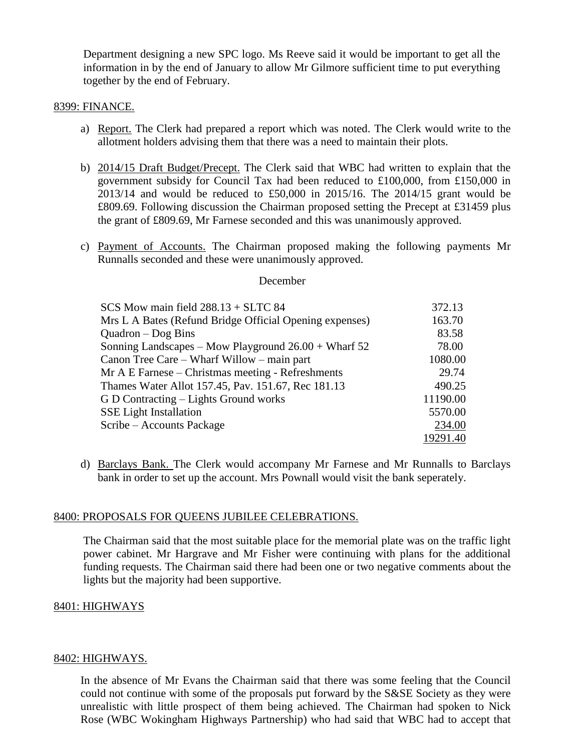Department designing a new SPC logo. Ms Reeve said it would be important to get all the information in by the end of January to allow Mr Gilmore sufficient time to put everything together by the end of February.

#### 8399: FINANCE.

- a) Report. The Clerk had prepared a report which was noted. The Clerk would write to the allotment holders advising them that there was a need to maintain their plots.
- b) 2014/15 Draft Budget/Precept. The Clerk said that WBC had written to explain that the government subsidy for Council Tax had been reduced to £100,000, from £150,000 in 2013/14 and would be reduced to £50,000 in 2015/16. The 2014/15 grant would be £809.69. Following discussion the Chairman proposed setting the Precept at £31459 plus the grant of £809.69, Mr Farnese seconded and this was unanimously approved.
- c) Payment of Accounts. The Chairman proposed making the following payments Mr Runnalls seconded and these were unanimously approved.

#### December

| SCS Mow main field $288.13 + SLTC$ 84                   | 372.13   |
|---------------------------------------------------------|----------|
| Mrs L A Bates (Refund Bridge Official Opening expenses) | 163.70   |
| $Quadron - Dog Bins$                                    | 83.58    |
| Sonning Landscapes – Mow Playground $26.00 +$ Wharf 52  | 78.00    |
| Canon Tree Care – Wharf Willow – main part              | 1080.00  |
| Mr A E Farnese – Christmas meeting - Refreshments       | 29.74    |
| Thames Water Allot 157.45, Pav. 151.67, Rec 181.13      | 490.25   |
| G D Contracting – Lights Ground works                   | 11190.00 |
| <b>SSE Light Installation</b>                           | 5570.00  |
| Scribe – Accounts Package                               | 234.00   |
|                                                         | 19291.40 |

d) Barclays Bank. The Clerk would accompany Mr Farnese and Mr Runnalls to Barclays bank in order to set up the account. Mrs Pownall would visit the bank seperately.

#### 8400: PROPOSALS FOR QUEENS JUBILEE CELEBRATIONS.

The Chairman said that the most suitable place for the memorial plate was on the traffic light power cabinet. Mr Hargrave and Mr Fisher were continuing with plans for the additional funding requests. The Chairman said there had been one or two negative comments about the lights but the majority had been supportive.

#### 8401: HIGHWAYS

### 8402: HIGHWAYS.

In the absence of Mr Evans the Chairman said that there was some feeling that the Council could not continue with some of the proposals put forward by the S&SE Society as they were unrealistic with little prospect of them being achieved. The Chairman had spoken to Nick Rose (WBC Wokingham Highways Partnership) who had said that WBC had to accept that